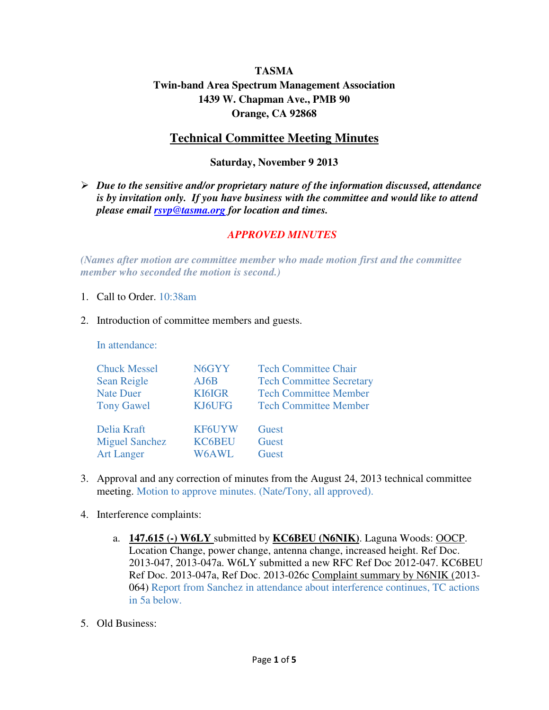# **TASMA Twin-band Area Spectrum Management Association 1439 W. Chapman Ave., PMB 90 Orange, CA 92868**

# **Technical Committee Meeting Minutes**

### **Saturday, November 9 2013**

 *Due to the sensitive and/or proprietary nature of the information discussed, attendance is by invitation only. If you have business with the committee and would like to attend please email rsvp@tasma.org for location and times.* 

#### *APPROVED MINUTES*

*(Names after motion are committee member who made motion first and the committee member who seconded the motion is second.)* 

- 1. Call to Order. 10:38am
- 2. Introduction of committee members and guests.

In attendance:

| <b>Chuck Messel</b>   | N6GYY         | <b>Tech Committee Chair</b>     |
|-----------------------|---------------|---------------------------------|
| <b>Sean Reigle</b>    | AJ6B          | <b>Tech Committee Secretary</b> |
| <b>Nate Duer</b>      | KI6IGR        | <b>Tech Committee Member</b>    |
| <b>Tony Gawel</b>     | KJ6UFG        | <b>Tech Committee Member</b>    |
| Delia Kraft           | <b>KF6UYW</b> | Guest                           |
| <b>Miguel Sanchez</b> | <b>KC6BEU</b> | Guest                           |
| <b>Art Langer</b>     | W6AWL         | Guest                           |

- 3. Approval and any correction of minutes from the August 24, 2013 technical committee meeting. Motion to approve minutes. (Nate/Tony, all approved).
- 4. Interference complaints:
	- a. **147.615 (-) W6LY** submitted by **KC6BEU (N6NIK)**. Laguna Woods: OOCP. Location Change, power change, antenna change, increased height. Ref Doc. 2013-047, 2013-047a. W6LY submitted a new RFC Ref Doc 2012-047. KC6BEU Ref Doc. 2013-047a, Ref Doc. 2013-026c Complaint summary by N6NIK (2013- 064) Report from Sanchez in attendance about interference continues, TC actions in 5a below.
- 5. Old Business: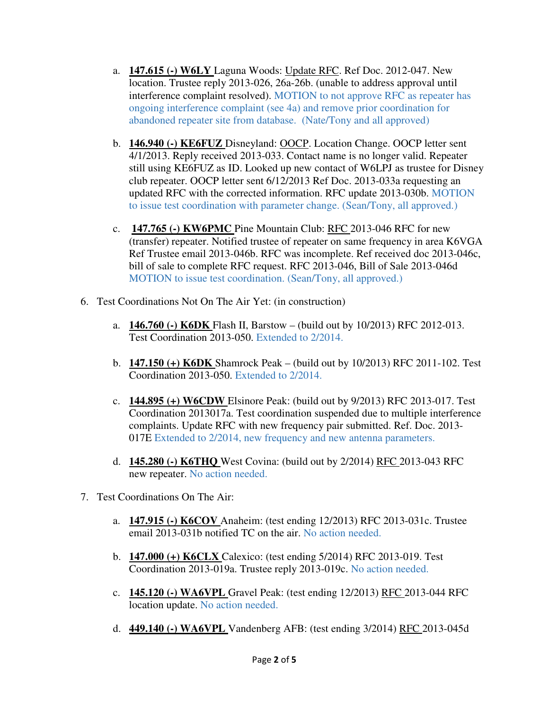- a. **147.615 (-) W6LY** Laguna Woods: Update RFC. Ref Doc. 2012-047. New location. Trustee reply 2013-026, 26a-26b. (unable to address approval until interference complaint resolved). MOTION to not approve RFC as repeater has ongoing interference complaint (see 4a) and remove prior coordination for abandoned repeater site from database. (Nate/Tony and all approved)
- b. **146.940 (-) KE6FUZ** Disneyland: OOCP. Location Change. OOCP letter sent 4/1/2013. Reply received 2013-033. Contact name is no longer valid. Repeater still using KE6FUZ as ID. Looked up new contact of W6LPJ as trustee for Disney club repeater. OOCP letter sent 6/12/2013 Ref Doc. 2013-033a requesting an updated RFC with the corrected information. RFC update 2013-030b. MOTION to issue test coordination with parameter change. (Sean/Tony, all approved.)
- c. **147.765 (-) KW6PMC** Pine Mountain Club: RFC 2013-046 RFC for new (transfer) repeater. Notified trustee of repeater on same frequency in area K6VGA Ref Trustee email 2013-046b. RFC was incomplete. Ref received doc 2013-046c, bill of sale to complete RFC request. RFC 2013-046, Bill of Sale 2013-046d MOTION to issue test coordination. (Sean/Tony, all approved.)
- 6. Test Coordinations Not On The Air Yet: (in construction)
	- a. **146.760 (-) K6DK** Flash II, Barstow (build out by 10/2013) RFC 2012-013. Test Coordination 2013-050. Extended to 2/2014.
	- b. **147.150 (+) K6DK** Shamrock Peak (build out by 10/2013) RFC 2011-102. Test Coordination 2013-050. Extended to 2/2014.
	- c. **144.895 (+) W6CDW** Elsinore Peak: (build out by 9/2013) RFC 2013-017. Test Coordination 2013017a. Test coordination suspended due to multiple interference complaints. Update RFC with new frequency pair submitted. Ref. Doc. 2013- 017E Extended to 2/2014, new frequency and new antenna parameters.
	- d. **145.280 (-) K6THQ** West Covina: (build out by 2/2014) RFC 2013-043 RFC new repeater. No action needed.
- 7. Test Coordinations On The Air:
	- a. **147.915 (-) K6COV** Anaheim: (test ending 12/2013) RFC 2013-031c. Trustee email 2013-031b notified TC on the air. No action needed.
	- b. **147.000 (+) K6CLX** Calexico: (test ending 5/2014) RFC 2013-019. Test Coordination 2013-019a. Trustee reply 2013-019c. No action needed.
	- c. **145.120 (-) WA6VPL** Gravel Peak: (test ending 12/2013) RFC 2013-044 RFC location update. No action needed.
	- d. **449.140 (-) WA6VPL** Vandenberg AFB: (test ending 3/2014) RFC 2013-045d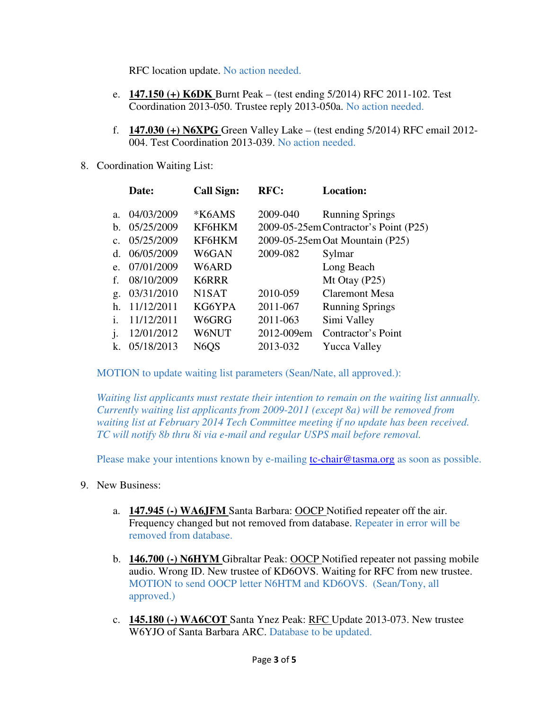RFC location update. No action needed.

- e. **147.150 (+) K6DK** Burnt Peak (test ending 5/2014) RFC 2011-102. Test Coordination 2013-050. Trustee reply 2013-050a. No action needed.
- f. **147.030 (+) N6XPG** Green Valley Lake (test ending 5/2014) RFC email 2012- 004. Test Coordination 2013-039. No action needed.
- 8. Coordination Waiting List:

|                | Date:      | <b>Call Sign:</b>             | RFC:       | <b>Location:</b>                      |
|----------------|------------|-------------------------------|------------|---------------------------------------|
| a.             | 04/03/2009 | *K6AMS                        | 2009-040   | <b>Running Springs</b>                |
| $h_{\cdot}$    | 05/25/2009 | KF6HKM                        |            | 2009-05-25em Contractor's Point (P25) |
| $\mathbf{c}$ . | 05/25/2009 | KF6HKM                        |            | 2009-05-25em Oat Mountain (P25)       |
| d.             | 06/05/2009 | W6GAN                         | 2009-082   | Sylmar                                |
| e.             | 07/01/2009 | W6ARD                         |            | Long Beach                            |
| $f_{\cdot}$    | 08/10/2009 | K6RRR                         |            | Mt Otay $(P25)$                       |
| g.             | 03/31/2010 | N <sub>1</sub> SAT            | 2010-059   | Claremont Mesa                        |
| h.             | 11/12/2011 | KG6YPA                        | 2011-067   | <b>Running Springs</b>                |
| Ť.             | 11/12/2011 | W6GRG                         | 2011-063   | Simi Valley                           |
|                | 12/01/2012 | W6NUT                         | 2012-009em | Contractor's Point                    |
| k.             | 05/18/2013 | N <sub>6</sub> Q <sub>S</sub> | 2013-032   | Yucca Valley                          |
|                |            |                               |            |                                       |

MOTION to update waiting list parameters (Sean/Nate, all approved.):

*Waiting list applicants must restate their intention to remain on the waiting list annually. Currently waiting list applicants from 2009-2011 (except 8a) will be removed from waiting list at February 2014 Tech Committee meeting if no update has been received. TC will notify 8b thru 8i via e-mail and regular USPS mail before removal.* 

Please make your intentions known by e-mailing tc-chair@tasma.org as soon as possible.

- 9. New Business:
	- a. **147.945 (-) WA6JFM** Santa Barbara: OOCP Notified repeater off the air. Frequency changed but not removed from database. Repeater in error will be removed from database.
	- b. **146.700 (-) N6HYM** Gibraltar Peak: OOCP Notified repeater not passing mobile audio. Wrong ID. New trustee of KD6OVS. Waiting for RFC from new trustee. MOTION to send OOCP letter N6HTM and KD6OVS. (Sean/Tony, all approved.)
	- c. **145.180 (-) WA6COT** Santa Ynez Peak: RFC Update 2013-073. New trustee W6YJO of Santa Barbara ARC. Database to be updated.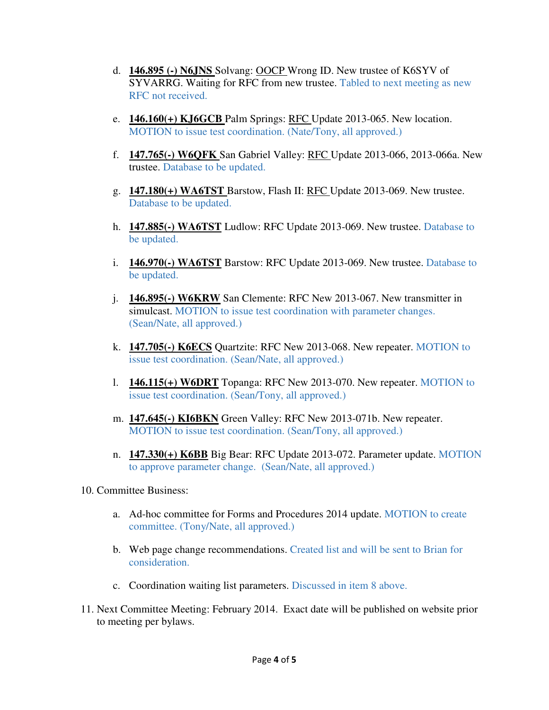- d. **146.895 (-) N6JNS** Solvang: OOCP Wrong ID. New trustee of K6SYV of SYVARRG. Waiting for RFC from new trustee. Tabled to next meeting as new RFC not received.
- e. **146.160(+) KJ6GCB** Palm Springs: RFC Update 2013-065. New location. MOTION to issue test coordination. (Nate/Tony, all approved.)
- f. **147.765(-) W6QFK** San Gabriel Valley: RFC Update 2013-066, 2013-066a. New trustee. Database to be updated.
- g. **147.180(+) WA6TST** Barstow, Flash II: RFC Update 2013-069. New trustee. Database to be updated.
- h. **147.885(-) WA6TST** Ludlow: RFC Update 2013-069. New trustee. Database to be updated.
- i. **146.970(-) WA6TST** Barstow: RFC Update 2013-069. New trustee. Database to be updated.
- j. **146.895(-) W6KRW** San Clemente: RFC New 2013-067. New transmitter in simulcast. MOTION to issue test coordination with parameter changes. (Sean/Nate, all approved.)
- k. **147.705(-) K6ECS** Quartzite: RFC New 2013-068. New repeater. MOTION to issue test coordination. (Sean/Nate, all approved.)
- l. **146.115(+) W6DRT** Topanga: RFC New 2013-070. New repeater. MOTION to issue test coordination. (Sean/Tony, all approved.)
- m. **147.645(-) KI6BKN** Green Valley: RFC New 2013-071b. New repeater. MOTION to issue test coordination. (Sean/Tony, all approved.)
- n. **147.330(+) K6BB** Big Bear: RFC Update 2013-072. Parameter update. MOTION to approve parameter change. (Sean/Nate, all approved.)
- 10. Committee Business:
	- a. Ad-hoc committee for Forms and Procedures 2014 update. MOTION to create committee. (Tony/Nate, all approved.)
	- b. Web page change recommendations. Created list and will be sent to Brian for consideration.
	- c. Coordination waiting list parameters. Discussed in item 8 above.
- 11. Next Committee Meeting: February 2014. Exact date will be published on website prior to meeting per bylaws.